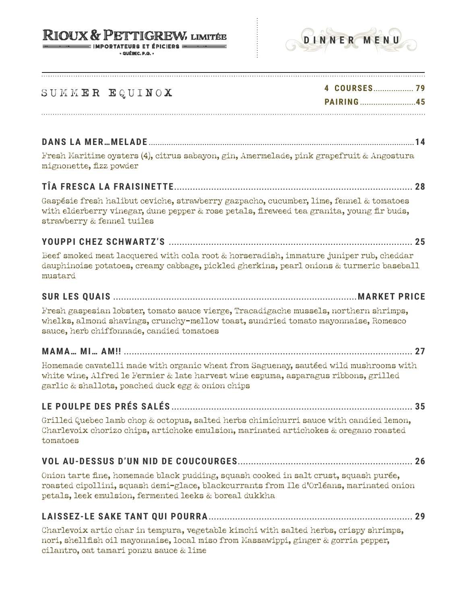#### **RIOUX & PETTIGREW, LIMITÉE** IMPORTATEURS ET ÉPICIERS ==

 $\cdot$  QUÉREC. P.Q.



# SUMMER EQUINOX **4 COURSES.................. <sup>79</sup>**

**PAIRING .........................45**

## **DANS LA MER…MELADE .......................................................................................................................14**

Fresh Maritime oysters (4), citrus sabayon, gin, Amermelade, pink grapefruit & Angostura mignonette, fizz powder

## **TÎA FRESCA LA FRAISINETTE.......................................................................................... 28**

Gaspésie fresh halibut ceviche, strawberry gazpacho, cucumber, lime, fennel & tomatoes with elderberry vinegar, dune pepper & rose petals, fireweed tea granita, young fir buds, strawberry & fennel tuiles

### **YOUPPI CHEZ SCHWARTZ'S ............................................................................................ 25**

Beef smoked meat lacquered with cola root & horseradish, immature juniper rub, cheddar dauphinoise potatoes, creamy cabbage, pickled gherkins, pearl onions & turmeric baseball mustard

### **SUR LES QUAIS ............................................................................................MARKET PRICE**

Fresh gaspesian lobster, tomato sauce vierge, Tracadigache mussels, northern shrimps, whelks, almond shavings, crunchy-mellow toast, sundried tomato mayonnaise, Romesco sauce, herb chiffonnade, candied tomatoes

## **MAMA… MI… AM!! ............................................................................................................. 27**

Homemade cavatelli made with organic wheat from Saguenay, sautéed wild mushrooms with white wine, Alfred le Fermier & late harvest wine espuma, asparagus ribbons, grilled garlic & shallots, poached duck egg & onion chips

## **LE POULPE DES PRÉS SALÉS ........................................................................................... 35**

Grilled Quebec lamb chop & octopus, salted herbs chimichurri sauce with candied lemon, Charlevoix chorizo chips, artichoke emulsion, marinated artichokes & oregano roasted tomatoes

### **VOL AU-DESSUS D'UN NID DE COUCOURGES.................................................................. 26**

Onion tarte fine, homemade black pudding, squash cooked in salt crust, squash purée, roasted cipollini, squash demi-glace, blackcurrants from Ile d'Orléans, marinated onion petals, leek emulsion, fermented leeks & boreal dukkha

#### **LAISSEZ-LE SAKE TANT QUI POURRA............................................................................. 29**

Charlevoix artic char in tempura, vegetable kimchi with salted herbs, crispy shrimps, nori, shellfish oil mayonnaise, local miso from Massawippi, ginger & gorria pepper, cilantro, oat tamari ponzu sauce & lime